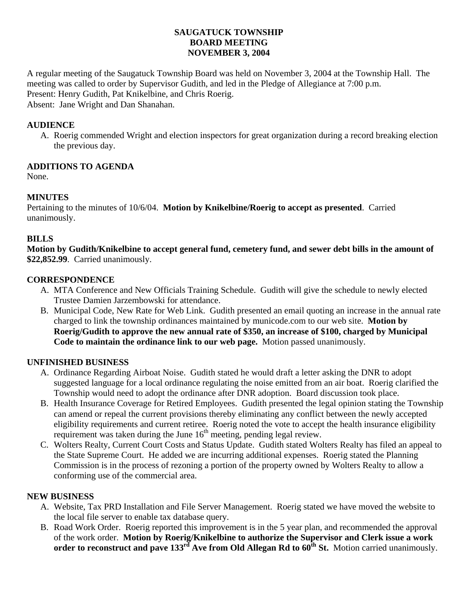# **SAUGATUCK TOWNSHIP BOARD MEETING NOVEMBER 3, 2004**

A regular meeting of the Saugatuck Township Board was held on November 3, 2004 at the Township Hall. The meeting was called to order by Supervisor Gudith, and led in the Pledge of Allegiance at 7:00 p.m. Present: Henry Gudith, Pat Knikelbine, and Chris Roerig. Absent: Jane Wright and Dan Shanahan.

#### **AUDIENCE**

A. Roerig commended Wright and election inspectors for great organization during a record breaking election the previous day.

#### **ADDITIONS TO AGENDA**

None.

# **MINUTES**

Pertaining to the minutes of 10/6/04. **Motion by Knikelbine/Roerig to accept as presented**. Carried unanimously.

#### **BILLS**

**Motion by Gudith/Knikelbine to accept general fund, cemetery fund, and sewer debt bills in the amount of \$22,852.99**. Carried unanimously.

# **CORRESPONDENCE**

- A. MTA Conference and New Officials Training Schedule. Gudith will give the schedule to newly elected Trustee Damien Jarzembowski for attendance.
- B. Municipal Code, New Rate for Web Link. Gudith presented an email quoting an increase in the annual rate charged to link the township ordinances maintained by municode.com to our web site. **Motion by Roerig/Gudith to approve the new annual rate of \$350, an increase of \$100, charged by Municipal Code to maintain the ordinance link to our web page.** Motion passed unanimously.

# **UNFINISHED BUSINESS**

- A. Ordinance Regarding Airboat Noise. Gudith stated he would draft a letter asking the DNR to adopt suggested language for a local ordinance regulating the noise emitted from an air boat. Roerig clarified the Township would need to adopt the ordinance after DNR adoption. Board discussion took place.
- B. Health Insurance Coverage for Retired Employees. Gudith presented the legal opinion stating the Township can amend or repeal the current provisions thereby eliminating any conflict between the newly accepted eligibility requirements and current retiree. Roerig noted the vote to accept the health insurance eligibility requirement was taken during the June  $16<sup>th</sup>$  meeting, pending legal review.
- C. Wolters Realty, Current Court Costs and Status Update. Gudith stated Wolters Realty has filed an appeal to the State Supreme Court. He added we are incurring additional expenses. Roerig stated the Planning Commission is in the process of rezoning a portion of the property owned by Wolters Realty to allow a conforming use of the commercial area.

# **NEW BUSINESS**

- A. Website, Tax PRD Installation and File Server Management. Roerig stated we have moved the website to the local file server to enable tax database query.
- B. Road Work Order. Roerig reported this improvement is in the 5 year plan, and recommended the approval of the work order. **Motion by Roerig/Knikelbine to authorize the Supervisor and Clerk issue a work**  order to reconstruct and pave 133<sup>rd</sup> Ave from Old Allegan Rd to 60<sup>th</sup> St. Motion carried unanimously.